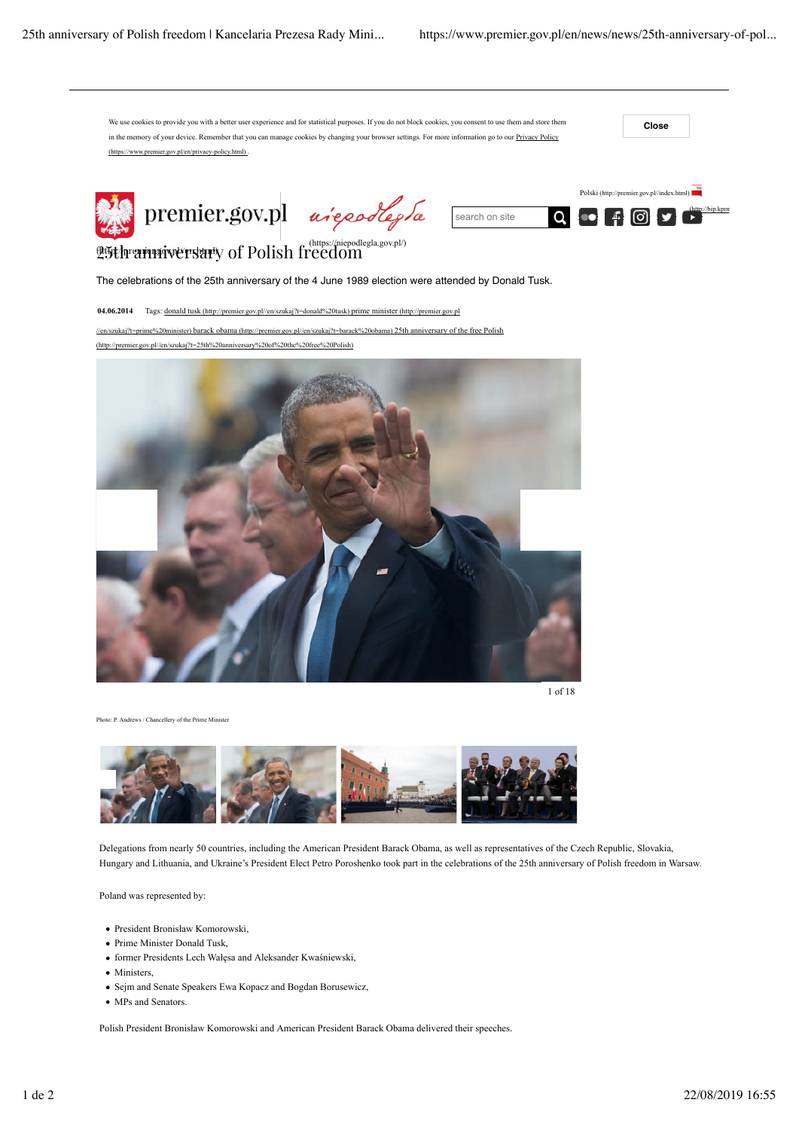

1 of 18

ndrews / Chancellery of the Prime Minister



Delegations from nearly 50 countries, including the American President Barack Obama, as well as representatives of the Czech Republic, Slovakia, Hungary and Lithuania, and Ukraine's President Elect Petro Poroshenko took part in the celebrations of the 25th anniversary of Polish freedom in Warsaw.

Poland was represented by:

- President Bronisław Komorowski,
- Prime Minister Donald Tusk
- former Presidents Lech Wałęsa and Aleksander Kwaśniewski,
- Ministers,
- Sejm and Senate Speakers Ewa Kopacz and Bogdan Borusewicz,
- MPs and Senators.

Polish President Bronisław Komorowski and American President Barack Obama delivered their speeches.